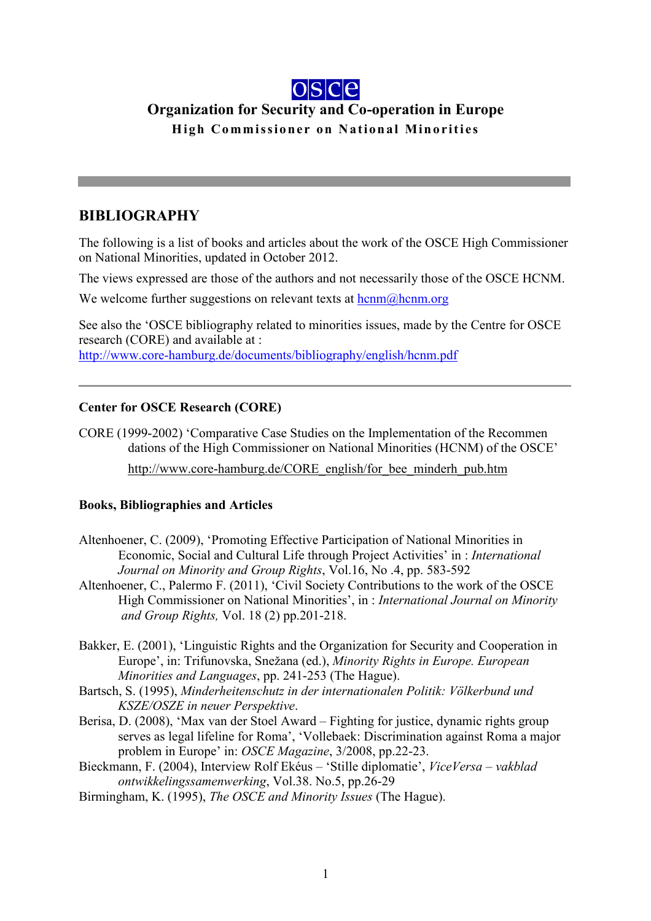

# **Organization for Security and Co-operation in Europe High Commissioner on National Minorities**

## **BIBLIOGRAPHY**

The following is a list of books and articles about the work of the OSCE High Commissioner on National Minorities, updated in October 2012.

The views expressed are those of the authors and not necessarily those of the OSCE HCNM.

We welcome further suggestions on relevant texts at  $\text{hemm}(Q)\text{hem}$ .org

See also the 'OSCE bibliography related to minorities issues, made by the Centre for OSCE research (CORE) and available at : http://www.core-hamburg.de/documents/bibliography/english/hcnm.pdf

### **Center for OSCE Research (CORE)**

CORE (1999-2002) 'Comparative Case Studies on the Implementation of the Recommen dations of the High Commissioner on National Minorities (HCNM) of the OSCE' http://www.core-hamburg.de/CORE\_english/for\_bee\_minderh\_pub.htm

### **Books, Bibliographies and Articles**

- Altenhoener, C. (2009), 'Promoting Effective Participation of National Minorities in Economic, Social and Cultural Life through Project Activities' in : *International Journal on Minority and Group Rights*, Vol.16, No .4, pp. 583-592
- Altenhoener, C., Palermo F. (2011), 'Civil Society Contributions to the work of the OSCE High Commissioner on National Minorities', in : *International Journal on Minority and Group Rights,* Vol. 18 (2) pp.201-218.
- Bakker, E. (2001), 'Linguistic Rights and the Organization for Security and Cooperation in Europe', in: Trifunovska, Snežana (ed.), *Minority Rights in Europe. European Minorities and Languages*, pp. 241-253 (The Hague).
- Bartsch, S. (1995), *Minderheitenschutz in der internationalen Politik: Völkerbund und KSZE/OSZE in neuer Perspektive*.
- Berisa, D. (2008), 'Max van der Stoel Award Fighting for justice, dynamic rights group serves as legal lifeline for Roma', 'Vollebaek: Discrimination against Roma a major problem in Europe' in: *OSCE Magazine*, 3/2008, pp.22-23.
- Bieckmann, F. (2004), Interview Rolf Ekéus 'Stille diplomatie', *ViceVersa – vakblad ontwikkelingssamenwerking*, Vol.38. No.5, pp.26-29
- Birmingham, K. (1995), *The OSCE and Minority Issues* (The Hague).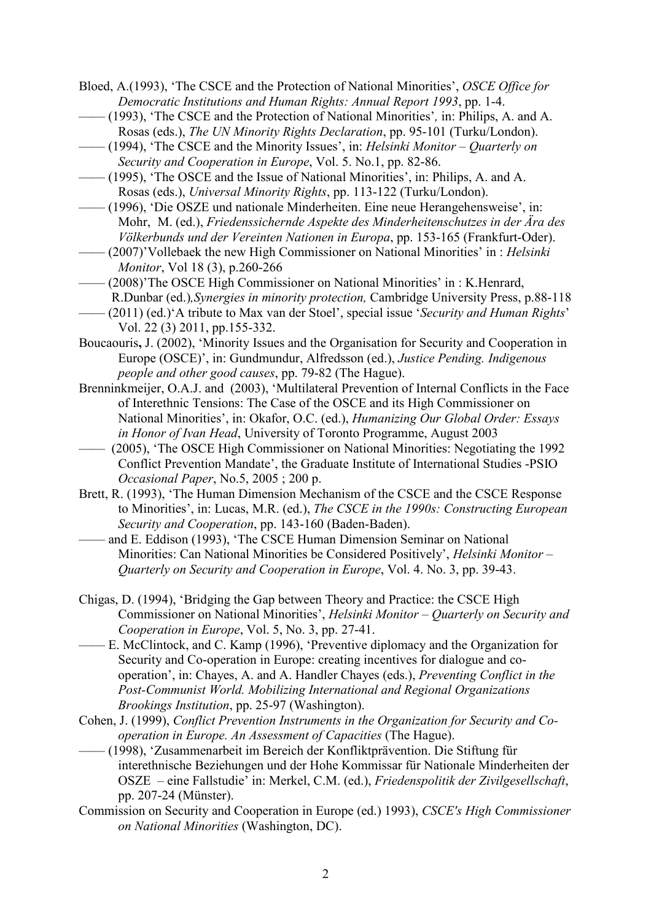- Bloed, A.(1993), 'The CSCE and the Protection of National Minorities', *OSCE Office for Democratic Institutions and Human Rights: Annual Report 1993*, pp. 1-4.
- —— (1993), 'The CSCE and the Protection of National Minorities'*,* in: Philips, A. and A. Rosas (eds.), *The UN Minority Rights Declaration*, pp. 95-101 (Turku/London).
- —— (1994), 'The CSCE and the Minority Issues', in: *Helsinki Monitor Quarterly on Security and Cooperation in Europe*, Vol. 5. No.1, pp. 82-86.
- —— (1995), 'The OSCE and the Issue of National Minorities', in: Philips, A. and A. Rosas (eds.), *Universal Minority Rights*, pp. 113-122 (Turku/London).
- —— (1996), 'Die OSZE und nationale Minderheiten. Eine neue Herangehensweise', in: Mohr, M. (ed.), *Friedenssichernde Aspekte des Minderheitenschutzes in der Ära des Völkerbunds und der Vereinten Nationen in Europa*, pp. 153-165 (Frankfurt-Oder).
- —— (2007)'Vollebaek the new High Commissioner on National Minorities' in : *Helsinki Monitor*, Vol 18 (3), p.260-266
- —— (2008)'The OSCE High Commissioner on National Minorities' in : K.Henrard, R.Dunbar (ed.)*,Synergies in minority protection,* Cambridge University Press, p.88-118
- —— (2011) (ed.)'A tribute to Max van der Stoel', special issue '*Security and Human Rights*' Vol. 22 (3) 2011, pp.155-332.
- Boucaouris**,** J. (2002), 'Minority Issues and the Organisation for Security and Cooperation in Europe (OSCE)', in: Gundmundur, Alfredsson (ed.), *Justice Pending. Indigenous people and other good causes*, pp. 79-82 (The Hague).
- Brenninkmeijer, O.A.J. and (2003), 'Multilateral Prevention of Internal Conflicts in the Face of Interethnic Tensions: The Case of the OSCE and its High Commissioner on National Minorities', in: Okafor, O.C. (ed.), *Humanizing Our Global Order: Essays in Honor of Ivan Head*, University of Toronto Programme, August 2003
- —— (2005), 'The OSCE High Commissioner on National Minorities: Negotiating the 1992 Conflict Prevention Mandate', the Graduate Institute of International Studies -PSIO *Occasional Paper*, No.5, 2005 ; 200 p.
- Brett, R. (1993), 'The Human Dimension Mechanism of the CSCE and the CSCE Response to Minorities', in: Lucas, M.R. (ed.), *The CSCE in the 1990s: Constructing European Security and Cooperation*, pp. 143-160 (Baden-Baden).
- —— and E. Eddison (1993), 'The CSCE Human Dimension Seminar on National Minorities: Can National Minorities be Considered Positively', *Helsinki Monitor – Quarterly on Security and Cooperation in Europe*, Vol. 4. No. 3, pp. 39-43.
- Chigas, D. (1994), 'Bridging the Gap between Theory and Practice: the CSCE High Commissioner on National Minorities', *Helsinki Monitor – Quarterly on Security and Cooperation in Europe*, Vol. 5, No. 3, pp. 27-41.
- —— E. McClintock, and C. Kamp (1996), 'Preventive diplomacy and the Organization for Security and Co-operation in Europe: creating incentives for dialogue and cooperation', in: Chayes, A. and A. Handler Chayes (eds.), *Preventing Conflict in the Post-Communist World. Mobilizing International and Regional Organizations Brookings Institution*, pp. 25-97 (Washington).
- Cohen, J. (1999), *Conflict Prevention Instruments in the Organization for Security and Cooperation in Europe. An Assessment of Capacities* (The Hague).
- —— (1998), 'Zusammenarbeit im Bereich der Konfliktprävention. Die Stiftung für interethnische Beziehungen und der Hohe Kommissar für Nationale Minderheiten der OSZE *–* eine Fallstudie' in: Merkel, C.M. (ed.), *Friedenspolitik der Zivilgesellschaft*, pp. 207-24 (Münster).
- Commission on Security and Cooperation in Europe (ed.) 1993), *CSCE's High Commissioner on National Minorities* (Washington, DC).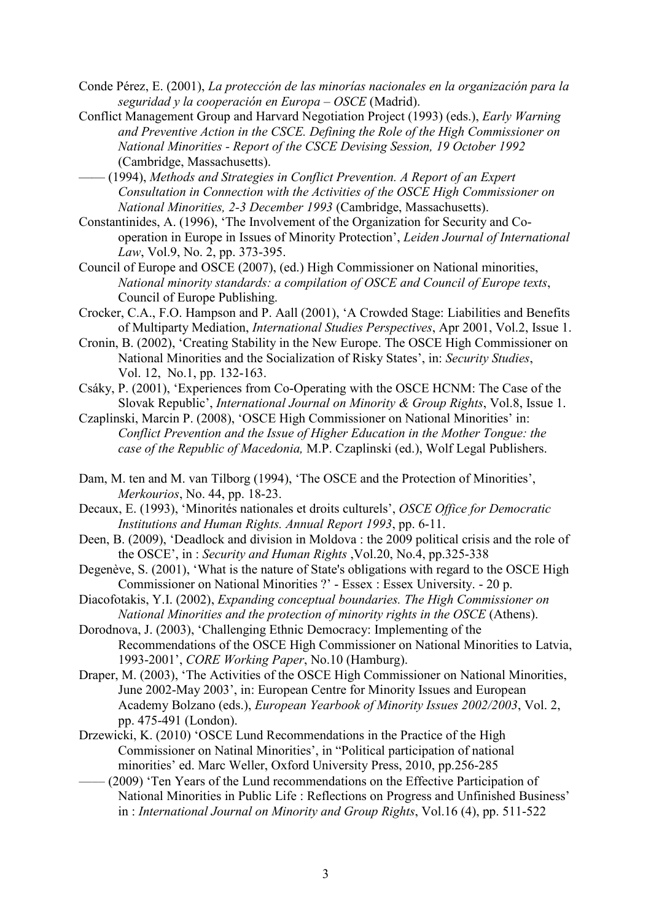- Conde Pérez, E. (2001), *La protección de las minorías nacionales en la organización para la seguridad y la cooperación en Europa – OSCE* (Madrid).
- Conflict Management Group and Harvard Negotiation Project (1993) (eds.), *Early Warning and Preventive Action in the CSCE. Defining the Role of the High Commissioner on National Minorities - Report of the CSCE Devising Session, 19 October 1992* (Cambridge, Massachusetts).
- —— (1994), *Methods and Strategies in Conflict Prevention. A Report of an Expert Consultation in Connection with the Activities of the OSCE High Commissioner on National Minorities, 2-3 December 1993* (Cambridge, Massachusetts).
- Constantinides, A. (1996), 'The Involvement of the Organization for Security and Cooperation in Europe in Issues of Minority Protection', *Leiden Journal of International Law*, Vol.9, No. 2, pp. 373-395.
- Council of Europe and OSCE (2007), (ed.) High Commissioner on National minorities, *National minority standards: a compilation of OSCE and Council of Europe texts*, Council of Europe Publishing.
- Crocker, C.A., F.O. Hampson and P. Aall (2001), 'A Crowded Stage: Liabilities and Benefits of Multiparty Mediation, *International Studies Perspectives*, Apr 2001, Vol.2, Issue 1.
- Cronin, B. (2002), 'Creating Stability in the New Europe. The OSCE High Commissioner on National Minorities and the Socialization of Risky States', in: *Security Studies*, Vol. 12, No.1, pp. 132-163.
- Csáky, P. (2001), 'Experiences from Co-Operating with the OSCE HCNM: The Case of the Slovak Republic', *International Journal on Minority & Group Rights*, Vol.8, Issue 1.
- Czaplinski, Marcin P. (2008), 'OSCE High Commissioner on National Minorities' in: *Conflict Prevention and the Issue of Higher Education in the Mother Tongue: the case of the Republic of Macedonia,* M.P. Czaplinski (ed.), Wolf Legal Publishers.
- Dam, M. ten and M. van Tilborg (1994), 'The OSCE and the Protection of Minorities', *Merkourios*, No. 44, pp. 18-23.
- Decaux, E. (1993), 'Minorités nationales et droits culturels', *OSCE Office for Democratic Institutions and Human Rights. Annual Report 1993*, pp. 6-11.
- Deen, B. (2009), 'Deadlock and division in Moldova : the 2009 political crisis and the role of the OSCE', in : *Security and Human Rights* ,Vol.20, No.4, pp.325-338
- Degenève, S. (2001), 'What is the nature of State's obligations with regard to the OSCE High Commissioner on National Minorities ?' - Essex : Essex University. - 20 p.
- Diacofotakis, Y.I. (2002), *Expanding conceptual boundaries. The High Commissioner on National Minorities and the protection of minority rights in the OSCE* (Athens).
- Dorodnova, J. (2003), 'Challenging Ethnic Democracy: Implementing of the Recommendations of the OSCE High Commissioner on National Minorities to Latvia, 1993-2001', *CORE Working Paper*, No.10 (Hamburg).
- Draper, M. (2003), 'The Activities of the OSCE High Commissioner on National Minorities, June 2002-May 2003', in: European Centre for Minority Issues and European Academy Bolzano (eds.), *European Yearbook of Minority Issues 2002/2003*, Vol. 2, pp. 475-491 (London).
- Drzewicki, K. (2010) 'OSCE Lund Recommendations in the Practice of the High Commissioner on Natinal Minorities', in "Political participation of national minorities' ed. Marc Weller, Oxford University Press, 2010, pp.256-285
- —— (2009) 'Ten Years of the Lund recommendations on the Effective Participation of National Minorities in Public Life : Reflections on Progress and Unfinished Business' in : *International Journal on Minority and Group Rights*, Vol.16 (4), pp. 511-522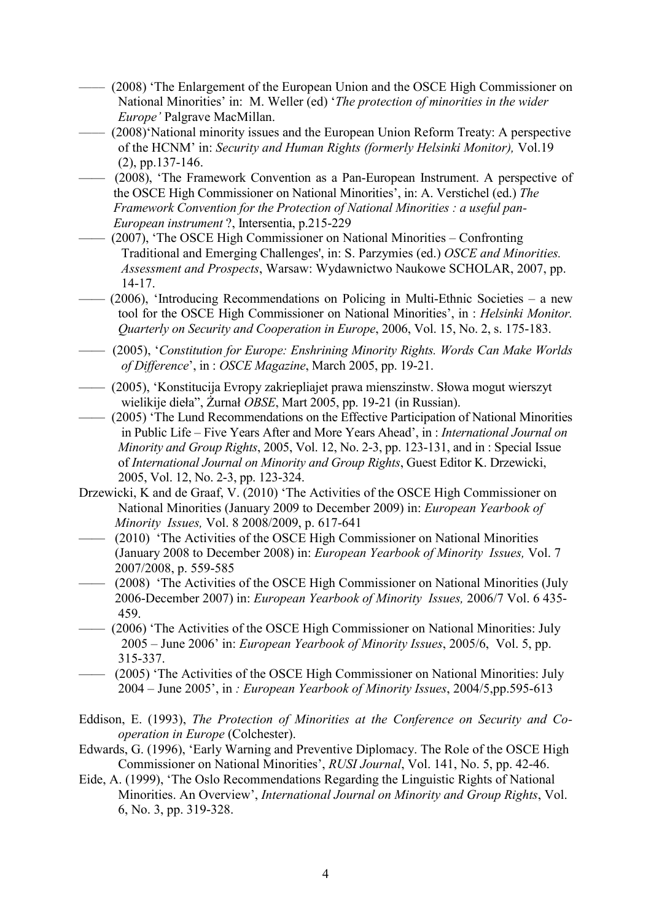- (2008) 'The Enlargement of the European Union and the OSCE High Commissioner on National Minorities' in: M. Weller (ed) '*The protection of minorities in the wider Europe'* Palgrave MacMillan.
- (2008)'National minority issues and the European Union Reform Treaty: A perspective of the HCNM' in: *Security and Human Rights (formerly Helsinki Monitor),* Vol.19 (2), pp.137-146.
- (2008), 'The Framework Convention as a Pan-European Instrument. A perspective of the OSCE High Commissioner on National Minorities', in: A. Verstichel (ed.) *The Framework Convention for the Protection of National Minorities : a useful pan-European instrument* ?, Intersentia, p.215-229
- —— (2007), 'The OSCE High Commissioner on National Minorities Confronting Traditional and Emerging Challenges', in: S. Parzymies (ed.) *OSCE and Minorities. Assessment and Prospects*, Warsaw: Wydawnictwo Naukowe SCHOLAR, 2007, pp. 14-17.
- —— (2006), 'Introducing Recommendations on Policing in Multi-Ethnic Societies a new tool for the OSCE High Commissioner on National Minorities', in : *Helsinki Monitor. Quarterly on Security and Cooperation in Europe*, 2006, Vol. 15, No. 2, s. 175-183.
- —— (2005), '*Constitution for Europe: Enshrining Minority Rights. Words Can Make Worlds of Difference*', in : *OSCE Magazine*, March 2005, pp. 19-21.
- —— (2005), 'Konstitucija Evropy zakriepliajet prawa mienszinstw. Słowa mogut wierszyt wielikije dieła", Żurnał *OBSE*, Mart 2005, pp. 19-21 (in Russian).
- —— (2005) 'The Lund Recommendations on the Effective Participation of National Minorities in Public Life – Five Years After and More Years Ahead', in : *International Journal on Minority and Group Rights*, 2005, Vol. 12, No. 2-3, pp. 123-131, and in : Special Issue of *International Journal on Minority and Group Rights*, Guest Editor K. Drzewicki, 2005, Vol. 12, No. 2-3, pp. 123-324.
- Drzewicki, K and de Graaf, V. (2010) 'The Activities of the OSCE High Commissioner on National Minorities (January 2009 to December 2009) in: *European Yearbook of Minority Issues,* Vol. 8 2008/2009, p. 617-641
- (2010) 'The Activities of the OSCE High Commissioner on National Minorities (January 2008 to December 2008) in: *European Yearbook of Minority Issues,* Vol. 7 2007/2008, p. 559-585
- —— (2008) 'The Activities of the OSCE High Commissioner on National Minorities (July 2006-December 2007) in: *European Yearbook of Minority Issues,* 2006/7 Vol. 6 435- 459.
- —— (2006) 'The Activities of the OSCE High Commissioner on National Minorities: July 2005 – June 2006' in: *European Yearbook of Minority Issues*, 2005/6, Vol. 5, pp. 315-337.
- (2005) 'The Activities of the OSCE High Commissioner on National Minorities: July 2004 – June 2005', in *: European Yearbook of Minority Issues*, 2004/5,pp.595-613

Eddison, E. (1993), *The Protection of Minorities at the Conference on Security and Cooperation in Europe* (Colchester).

- Edwards, G. (1996), 'Early Warning and Preventive Diplomacy. The Role of the OSCE High Commissioner on National Minorities', *RUSI Journal*, Vol. 141, No. 5, pp. 42-46.
- Eide, A. (1999), 'The Oslo Recommendations Regarding the Linguistic Rights of National Minorities. An Overview', *International Journal on Minority and Group Rights*, Vol. 6, No. 3, pp. 319-328.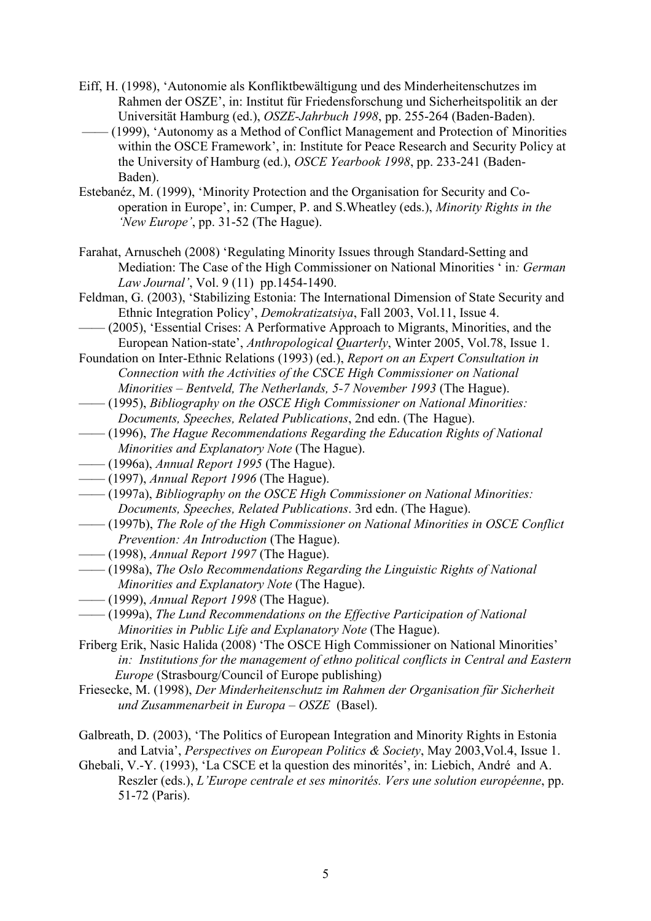- Eiff, H. (1998), 'Autonomie als Konfliktbewältigung und des Minderheitenschutzes im Rahmen der OSZE', in: Institut für Friedensforschung und Sicherheitspolitik an der Universität Hamburg (ed.), *OSZE-Jahrbuch 1998*, pp. 255-264 (Baden-Baden).
- (1999), 'Autonomy as a Method of Conflict Management and Protection of Minorities within the OSCE Framework', in: Institute for Peace Research and Security Policy at the University of Hamburg (ed.), *OSCE Yearbook 1998*, pp. 233-241 (Baden-Baden).
- Estebanéz, M. (1999), 'Minority Protection and the Organisation for Security and Cooperation in Europe', in: Cumper, P. and S.Wheatley (eds.), *Minority Rights in the 'New Europe'*, pp. 31-52 (The Hague).
- Farahat, Arnuscheh (2008) 'Regulating Minority Issues through Standard-Setting and Mediation: The Case of the High Commissioner on National Minorities ' in*: German Law Journal'*, Vol. 9 (11) pp.1454-1490.
- Feldman, G. (2003), 'Stabilizing Estonia: The International Dimension of State Security and Ethnic Integration Policy', *Demokratizatsiya*, Fall 2003, Vol.11, Issue 4.
- (2005), 'Essential Crises: A Performative Approach to Migrants, Minorities, and the European Nation-state', *Anthropological Quarterly*, Winter 2005, Vol.78, Issue 1.
- Foundation on Inter-Ethnic Relations (1993) (ed.), *Report on an Expert Consultation in Connection with the Activities of the CSCE High Commissioner on National Minorities – Bentveld, The Netherlands, 5-7 November 1993* (The Hague).
- —— (1995), *Bibliography on the OSCE High Commissioner on National Minorities: Documents, Speeches, Related Publications*, 2nd edn. (The Hague).
- —— (1996), *The Hague Recommendations Regarding the Education Rights of National Minorities and Explanatory Note* (The Hague).
- —— (1996a), *Annual Report 1995* (The Hague).
- —— (1997), *Annual Report 1996* (The Hague).
- —— (1997a), *Bibliography on the OSCE High Commissioner on National Minorities: Documents, Speeches, Related Publications*. 3rd edn. (The Hague).
- —— (1997b), *The Role of the High Commissioner on National Minorities in OSCE Conflict Prevention: An Introduction* (The Hague).
- —— (1998), *Annual Report 1997* (The Hague).
- —— (1998a), *The Oslo Recommendations Regarding the Linguistic Rights of National Minorities and Explanatory Note* (The Hague).
- —— (1999), *Annual Report 1998* (The Hague).
- —— (1999a), *The Lund Recommendations on the Effective Participation of National Minorities in Public Life and Explanatory Note* (The Hague).
- Friberg Erik, Nasic Halida (2008) 'The OSCE High Commissioner on National Minorities' *in: Institutions for the management of ethno political conflicts in Central and Eastern Europe* (Strasbourg/Council of Europe publishing)
- Friesecke, M. (1998), *Der Minderheitenschutz im Rahmen der Organisation für Sicherheit und Zusammenarbeit in Europa – OSZE* (Basel).
- Galbreath, D. (2003), 'The Politics of European Integration and Minority Rights in Estonia and Latvia', *Perspectives on European Politics & Society*, May 2003,Vol.4, Issue 1.
- Ghebali, V.-Y. (1993), 'La CSCE et la question des minorités', in: Liebich, André and A. Reszler (eds.), *L'Europe centrale et ses minorités. Vers une solution européenne*, pp. 51-72 (Paris).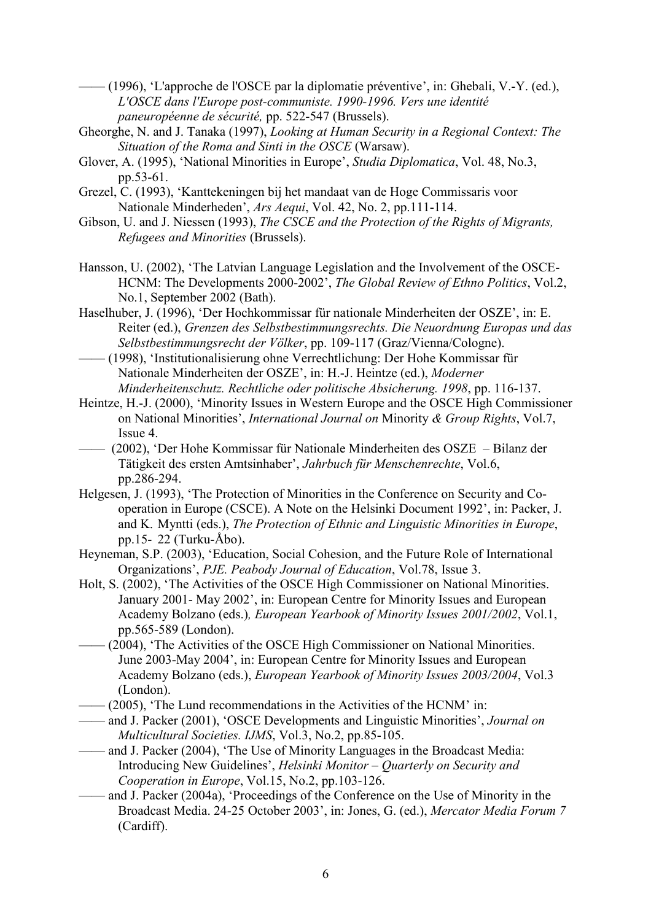- —— (1996), 'L'approche de l'OSCE par la diplomatie préventive', in: Ghebali, V.-Y. (ed.), *L'OSCE dans l'Europe post-communiste. 1990-1996. Vers une identité paneuropéenne de sécurité,* pp. 522-547 (Brussels).
- Gheorghe, N. and J. Tanaka (1997), *Looking at Human Security in a Regional Context: The Situation of the Roma and Sinti in the OSCE* (Warsaw).
- Glover, A. (1995), 'National Minorities in Europe', *Studia Diplomatica*, Vol. 48, No.3, pp.53-61.
- Grezel, C. (1993), 'Kanttekeningen bij het mandaat van de Hoge Commissaris voor Nationale Minderheden', *Ars Aequi*, Vol. 42, No. 2, pp.111-114.
- Gibson, U. and J. Niessen (1993), *The CSCE and the Protection of the Rights of Migrants, Refugees and Minorities* (Brussels).
- Hansson, U. (2002), 'The Latvian Language Legislation and the Involvement of the OSCE-HCNM: The Developments 2000-2002', *The Global Review of Ethno Politics*, Vol.2, No.1, September 2002 (Bath).
- Haselhuber, J. (1996), 'Der Hochkommissar für nationale Minderheiten der OSZE', in: E. Reiter (ed.), *Grenzen des Selbstbestimmungsrechts. Die Neuordnung Europas und das Selbstbestimmungsrecht der Völker*, pp. 109-117 (Graz/Vienna/Cologne).
- —— (1998), 'Institutionalisierung ohne Verrechtlichung: Der Hohe Kommissar für Nationale Minderheiten der OSZE', in: H.-J. Heintze (ed.), *Moderner Minderheitenschutz. Rechtliche oder politische Absicherung. 1998*, pp. 116-137.
- Heintze, H.-J. (2000), 'Minority Issues in Western Europe and the OSCE High Commissioner on National Minorities', *International Journal on* Minority *& Group Rights*, Vol.7, Issue 4.
- —— (2002), 'Der Hohe Kommissar für Nationale Minderheiten des OSZE *–* Bilanz der Tätigkeit des ersten Amtsinhaber', *Jahrbuch für Menschenrechte*, Vol.6, pp.286-294.
- Helgesen, J. (1993), 'The Protection of Minorities in the Conference on Security and Cooperation in Europe (CSCE). A Note on the Helsinki Document 1992', in: Packer, J. and K. Myntti (eds.), *The Protection of Ethnic and Linguistic Minorities in Europe*, pp.15- 22 (Turku-Åbo).
- Heyneman, S.P. (2003), 'Education, Social Cohesion, and the Future Role of International Organizations', *PJE. Peabody Journal of Education*, Vol.78, Issue 3.
- Holt, S. (2002), 'The Activities of the OSCE High Commissioner on National Minorities. January 2001- May 2002', in: European Centre for Minority Issues and European Academy Bolzano (eds.)*, European Yearbook of Minority Issues 2001/2002*, Vol.1, pp.565-589 (London).
- —— (2004), 'The Activities of the OSCE High Commissioner on National Minorities. June 2003-May 2004', in: European Centre for Minority Issues and European Academy Bolzano (eds.), *European Yearbook of Minority Issues 2003/2004*, Vol.3 (London).
- —— (2005), 'The Lund recommendations in the Activities of the HCNM' in:
- —— and J. Packer (2001), 'OSCE Developments and Linguistic Minorities', *Journal on Multicultural Societies. IJMS*, Vol.3, No.2, pp.85-105.
- —— and J. Packer (2004), 'The Use of Minority Languages in the Broadcast Media: Introducing New Guidelines', *Helsinki Monitor – Quarterly on Security and Cooperation in Europe*, Vol.15, No.2, pp.103-126.
- —— and J. Packer (2004a), 'Proceedings of the Conference on the Use of Minority in the Broadcast Media. 24-25 October 2003', in: Jones, G. (ed.), *Mercator Media Forum 7* (Cardiff).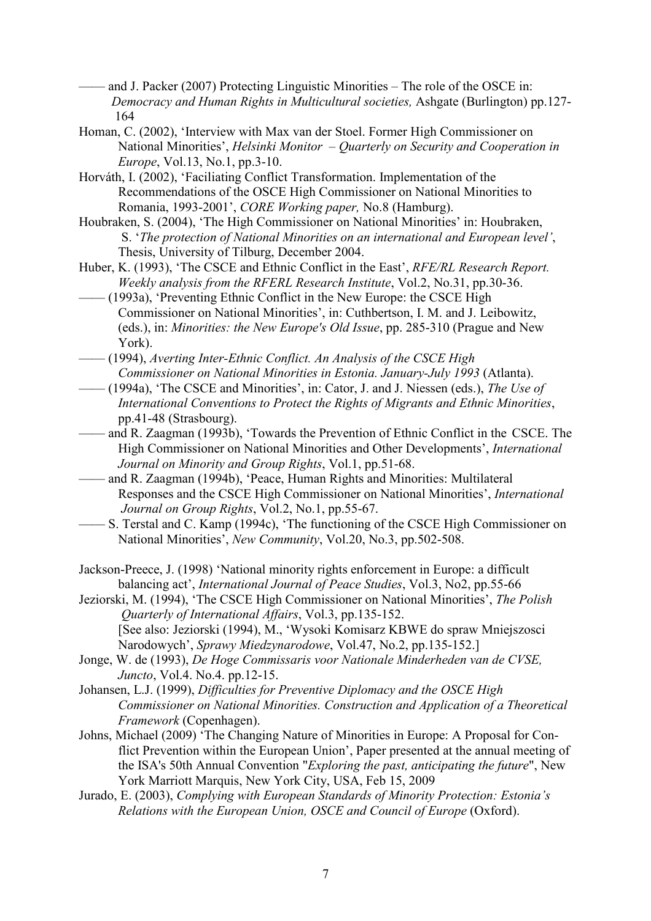- —— and J. Packer (2007) Protecting Linguistic Minorities The role of the OSCE in: *Democracy and Human Rights in Multicultural societies,* Ashgate (Burlington) pp.127- 164
- Homan, C. (2002), 'Interview with Max van der Stoel. Former High Commissioner on National Minorities', *Helsinki Monitor – Quarterly on Security and Cooperation in Europe*, Vol.13, No.1, pp.3-10.
- Horváth, I. (2002), 'Faciliating Conflict Transformation. Implementation of the Recommendations of the OSCE High Commissioner on National Minorities to Romania, 1993-2001', *CORE Working paper,* No.8 (Hamburg).
- Houbraken, S. (2004), 'The High Commissioner on National Minorities' in: Houbraken, S. '*The protection of National Minorities on an international and European level'*, Thesis, University of Tilburg, December 2004.
- Huber, K. (1993), 'The CSCE and Ethnic Conflict in the East', *RFE/RL Research Report. Weekly analysis from the RFERL Research Institute*, Vol.2, No.31, pp.30-36.
- —— (1993a), 'Preventing Ethnic Conflict in the New Europe: the CSCE High Commissioner on National Minorities', in: Cuthbertson, I. M. and J. Leibowitz, (eds.), in: *Minorities: the New Europe's Old Issue*, pp. 285-310 (Prague and New York).
- —— (1994), *Averting Inter-Ethnic Conflict. An Analysis of the CSCE High Commissioner on National Minorities in Estonia. January-July 1993* (Atlanta).
- —— (1994a), 'The CSCE and Minorities', in: Cator, J. and J. Niessen (eds.), *The Use of International Conventions to Protect the Rights of Migrants and Ethnic Minorities*, pp.41-48 (Strasbourg).
- —— and R. Zaagman (1993b), 'Towards the Prevention of Ethnic Conflict in the CSCE. The High Commissioner on National Minorities and Other Developments', *International Journal on Minority and Group Rights*, Vol.1, pp.51-68.
- —— and R. Zaagman (1994b), 'Peace, Human Rights and Minorities: Multilateral Responses and the CSCE High Commissioner on National Minorities', *International Journal on Group Rights*, Vol.2, No.1, pp.55-67.
- —— S. Terstal and C. Kamp (1994c), 'The functioning of the CSCE High Commissioner on National Minorities', *New Community*, Vol.20, No.3, pp.502-508.
- Jackson-Preece, J. (1998) 'National minority rights enforcement in Europe: a difficult balancing act', *International Journal of Peace Studies*, Vol.3, No2, pp.55-66
- Jeziorski, M. (1994), 'The CSCE High Commissioner on National Minorities', *The Polish Quarterly of International Affairs*, Vol.3, pp.135-152. [See also: Jeziorski (1994), M., 'Wysoki Komisarz KBWE do spraw Mniejszosci Narodowych', *Sprawy Miedzynarodowe*, Vol.47, No.2, pp.135-152.]
- Jonge, W. de (1993), *De Hoge Commissaris voor Nationale Minderheden van de CVSE, Juncto*, Vol.4. No.4. pp.12-15.
- Johansen, L.J. (1999), *Difficulties for Preventive Diplomacy and the OSCE High Commissioner on National Minorities. Construction and Application of a Theoretical Framework* (Copenhagen).
- Johns, Michael (2009) 'The Changing Nature of Minorities in Europe: A Proposal for Conflict Prevention within the European Union', Paper presented at the annual meeting of the ISA's 50th Annual Convention "*Exploring the past, anticipating the future*", New York Marriott Marquis, New York City, USA, Feb 15, 2009
- Jurado, E. (2003), *Complying with European Standards of Minority Protection: Estonia's Relations with the European Union, OSCE and Council of Europe* (Oxford).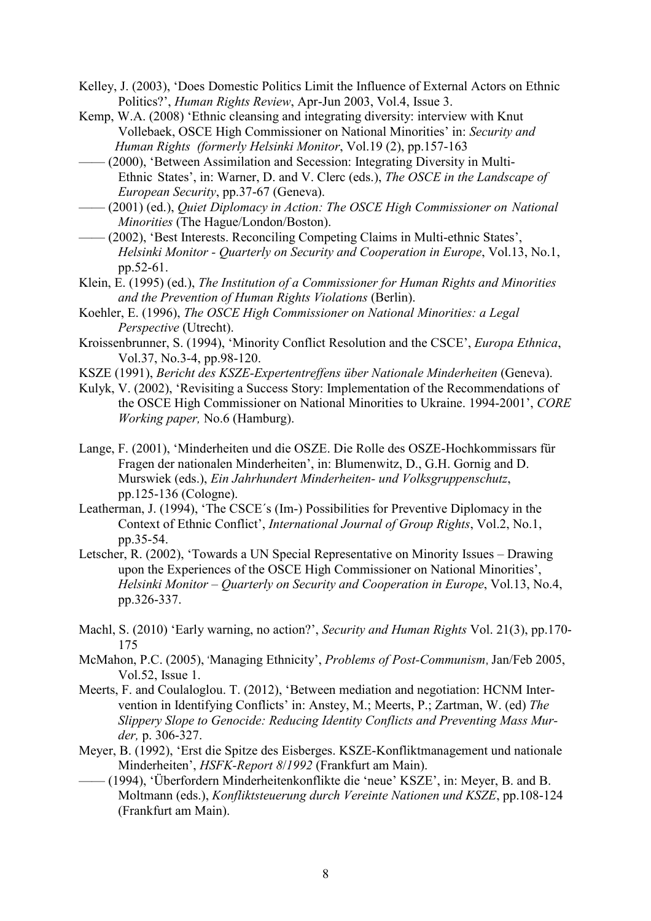- Kelley, J. (2003), 'Does Domestic Politics Limit the Influence of External Actors on Ethnic Politics?', *Human Rights Review*, Apr-Jun 2003, Vol.4, Issue 3.
- Kemp, W.A. (2008) 'Ethnic cleansing and integrating diversity: interview with Knut Vollebaek, OSCE High Commissioner on National Minorities' in: *Security and Human Rights (formerly Helsinki Monitor*, Vol.19 (2), pp.157-163
- —— (2000), 'Between Assimilation and Secession: Integrating Diversity in Multi-Ethnic States', in: Warner, D. and V. Clerc (eds.), *The OSCE in the Landscape of European Security*, pp.37-67 (Geneva).
- —— (2001) (ed.), *Quiet Diplomacy in Action: The OSCE High Commissioner on National Minorities* (The Hague/London/Boston).
- —— (2002), 'Best Interests. Reconciling Competing Claims in Multi-ethnic States', *Helsinki Monitor - Quarterly on Security and Cooperation in Europe*, Vol.13, No.1, pp.52-61.
- Klein, E. (1995) (ed.), *The Institution of a Commissioner for Human Rights and Minorities and the Prevention of Human Rights Violations* (Berlin).
- Koehler, E. (1996), *The OSCE High Commissioner on National Minorities: a Legal Perspective* (Utrecht).
- Kroissenbrunner, S. (1994), 'Minority Conflict Resolution and the CSCE', *Europa Ethnica*, Vol.37, No.3-4, pp.98-120.
- KSZE (1991), *Bericht des KSZE-Expertentreffens über Nationale Minderheiten* (Geneva).
- Kulyk, V. (2002), 'Revisiting a Success Story: Implementation of the Recommendations of the OSCE High Commissioner on National Minorities to Ukraine. 1994-2001', *CORE Working paper,* No.6 (Hamburg).
- Lange, F. (2001), 'Minderheiten und die OSZE. Die Rolle des OSZE-Hochkommissars für Fragen der nationalen Minderheiten', in: Blumenwitz, D., G.H. Gornig and D. Murswiek (eds.), *Ein Jahrhundert Minderheiten- und Volksgruppenschutz*, pp.125-136 (Cologne).
- Leatherman, J. (1994), 'The CSCE´s (Im-) Possibilities for Preventive Diplomacy in the Context of Ethnic Conflict', *International Journal of Group Rights*, Vol.2, No.1, pp.35-54.
- Letscher, R. (2002), 'Towards a UN Special Representative on Minority Issues Drawing upon the Experiences of the OSCE High Commissioner on National Minorities', *Helsinki Monitor – Quarterly on Security and Cooperation in Europe*, Vol.13, No.4, pp.326-337.
- Machl, S. (2010) 'Early warning, no action?', *Security and Human Rights* Vol. 21(3), pp.170- 175
- McMahon, P.C. (2005), 'Managing Ethnicity', *Problems of Post-Communism*, Jan/Feb 2005, Vol.52, Issue 1.
- Meerts, F. and Coulaloglou. T. (2012), 'Between mediation and negotiation: HCNM Intervention in Identifying Conflicts' in: Anstey, M.; Meerts, P.; Zartman, W. (ed) *The Slippery Slope to Genocide: Reducing Identity Conflicts and Preventing Mass Murder,* p. 306-327.
- Meyer, B. (1992), 'Erst die Spitze des Eisberges. KSZE-Konfliktmanagement und nationale Minderheiten', *HSFK-Report 8*/*1992* (Frankfurt am Main).
- —— (1994), 'Überfordern Minderheitenkonflikte die 'neue' KSZE', in: Meyer, B. and B. Moltmann (eds.), *Konfliktsteuerung durch Vereinte Nationen und KSZE*, pp.108-124 (Frankfurt am Main).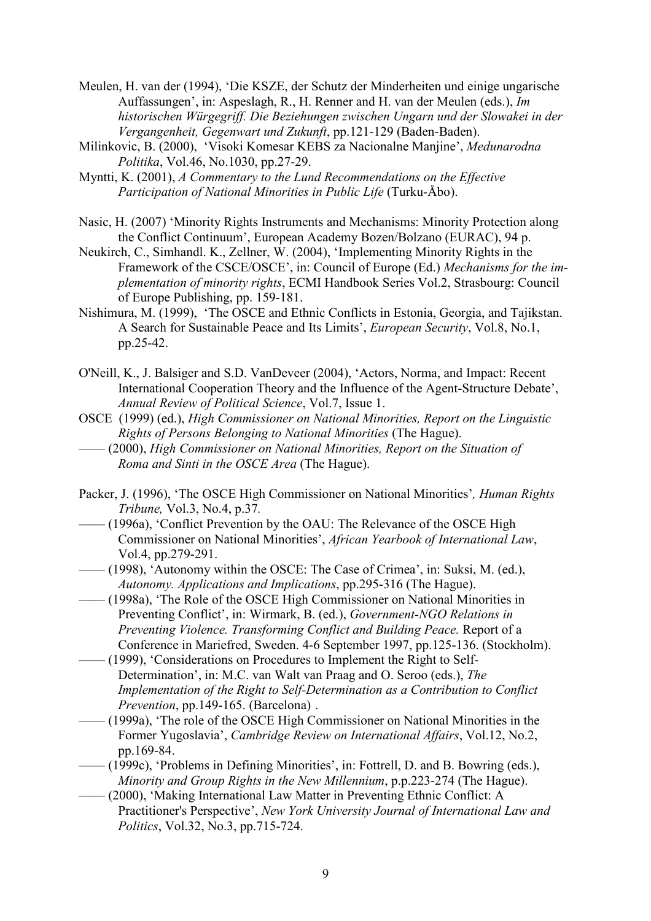- Meulen, H. van der (1994), 'Die KSZE, der Schutz der Minderheiten und einige ungarische Auffassungen', in: Aspeslagh, R., H. Renner and H. van der Meulen (eds.), *Im historischen Würgegriff. Die Beziehungen zwischen Ungarn und der Slowakei in der Vergangenheit, Gegenwart und Zukunft*, pp.121-129 (Baden-Baden).
- Milinkovic, B. (2000), 'Visoki Komesar KEBS za Nacionalne Manjine', *Medunarodna Politika*, Vol.46, No.1030, pp.27-29.
- Myntti, K. (2001), *A Commentary to the Lund Recommendations on the Effective Participation of National Minorities in Public Life* (Turku-Åbo).
- Nasic, H. (2007) 'Minority Rights Instruments and Mechanisms: Minority Protection along the Conflict Continuum', European Academy Bozen/Bolzano (EURAC), 94 p.
- Neukirch, C., Simhandl. K., Zellner, W. (2004), 'Implementing Minority Rights in the Framework of the CSCE/OSCE', in: Council of Europe (Ed.) *Mechanisms for the implementation of minority rights*, ECMI Handbook Series Vol.2, Strasbourg: Council of Europe Publishing, pp. 159-181.
- Nishimura, M. (1999), 'The OSCE and Ethnic Conflicts in Estonia, Georgia, and Tajikstan. A Search for Sustainable Peace and Its Limits', *European Security*, Vol.8, No.1, pp.25-42.
- O'Neill, K., J. Balsiger and S.D. VanDeveer (2004), 'Actors, Norma, and Impact: Recent International Cooperation Theory and the Influence of the Agent-Structure Debate', *Annual Review of Political Science*, Vol.7, Issue 1.

OSCE (1999) (ed.), *High Commissioner on National Minorities, Report on the Linguistic Rights of Persons Belonging to National Minorities* (The Hague).

- —— (2000), *High Commissioner on National Minorities, Report on the Situation of Roma and Sinti in the OSCE Area* (The Hague).
- Packer, J. (1996), 'The OSCE High Commissioner on National Minorities'*, Human Rights Tribune,* Vol.3, No.4, p.37*.*
- —— (1996a), 'Conflict Prevention by the OAU: The Relevance of the OSCE High Commissioner on National Minorities', *African Yearbook of International Law*, Vol.4, pp.279-291.
- —— (1998), 'Autonomy within the OSCE: The Case of Crimea', in: Suksi, M. (ed.), *Autonomy. Applications and Implications*, pp.295-316 (The Hague).
- —— (1998a), 'The Role of the OSCE High Commissioner on National Minorities in Preventing Conflict', in: Wirmark, B. (ed.), *Government-NGO Relations in Preventing Violence. Transforming Conflict and Building Peace.* Report of a Conference in Mariefred, Sweden. 4-6 September 1997, pp.125-136. (Stockholm).
- —— (1999), 'Considerations on Procedures to Implement the Right to Self-Determination', in: M.C. van Walt van Praag and O. Seroo (eds.), *The Implementation of the Right to Self-Determination as a Contribution to Conflict Prevention*, pp.149-165. (Barcelona) .
- —— (1999a), 'The role of the OSCE High Commissioner on National Minorities in the Former Yugoslavia', *Cambridge Review on International Affairs*, Vol.12, No.2, pp.169-84.
- —— (1999c), 'Problems in Defining Minorities', in: Fottrell, D. and B. Bowring (eds.), *Minority and Group Rights in the New Millennium*, p.p.223-274 (The Hague).
- —— (2000), 'Making International Law Matter in Preventing Ethnic Conflict: A Practitioner's Perspective', *New York University Journal of International Law and Politics*, Vol.32, No.3, pp.715-724.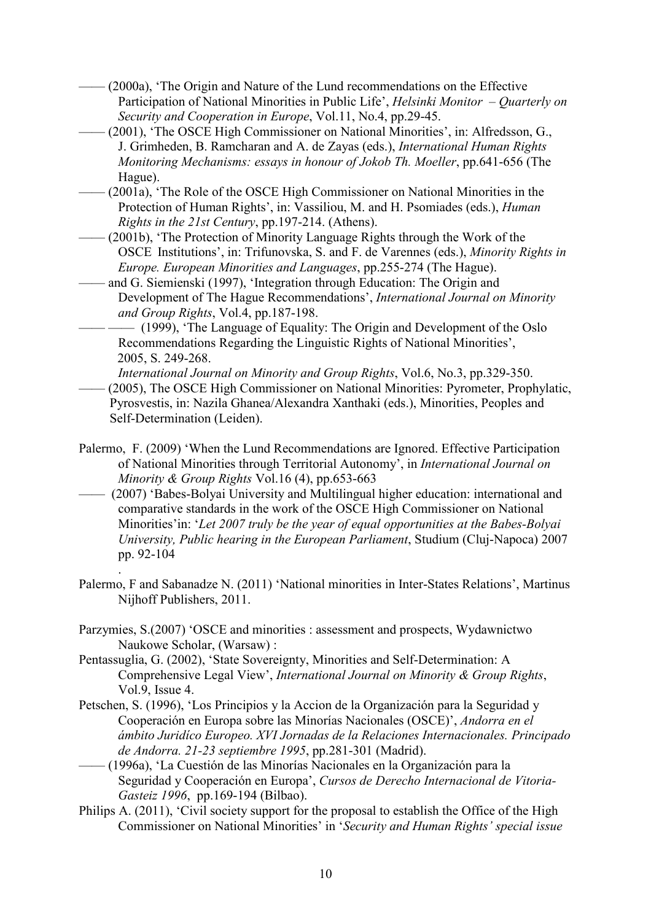- —— (2000a), 'The Origin and Nature of the Lund recommendations on the Effective Participation of National Minorities in Public Life', *Helsinki Monitor – Quarterly on Security and Cooperation in Europe*, Vol.11, No.4, pp.29-45.
- —— (2001), 'The OSCE High Commissioner on National Minorities', in: Alfredsson, G., J. Grimheden, B. Ramcharan and A. de Zayas (eds.), *International Human Rights Monitoring Mechanisms: essays in honour of Jokob Th. Moeller*, pp.641-656 (The Hague).
- —— (2001a), 'The Role of the OSCE High Commissioner on National Minorities in the Protection of Human Rights', in: Vassiliou, M. and H. Psomiades (eds.), *Human Rights in the 21st Century*, pp.197-214. (Athens).
- —— (2001b), 'The Protection of Minority Language Rights through the Work of the OSCE Institutions', in: Trifunovska, S. and F. de Varennes (eds.), *Minority Rights in Europe. European Minorities and Languages*, pp.255-274 (The Hague).
- —— and G. Siemienski (1997), 'Integration through Education: The Origin and Development of The Hague Recommendations', *International Journal on Minority and Group Rights*, Vol.4, pp.187-198.
	- (1999), 'The Language of Equality: The Origin and Development of the Oslo Recommendations Regarding the Linguistic Rights of National Minorities', 2005, S. 249-268.

*International Journal on Minority and Group Rights*, Vol.6, No.3, pp.329-350.

- —— (2005), The OSCE High Commissioner on National Minorities: Pyrometer, Prophylatic, Pyrosvestis, in: Nazila Ghanea/Alexandra Xanthaki (eds.), Minorities, Peoples and Self-Determination (Leiden).
- Palermo, F. (2009) 'When the Lund Recommendations are Ignored. Effective Participation of National Minorities through Territorial Autonomy', in *International Journal on Minority & Group Rights* Vol.16 (4), pp.653-663
- (2007) 'Babes-Bolyai University and Multilingual higher education: international and comparative standards in the work of the OSCE High Commissioner on National Minorities'in: '*Let 2007 truly be the year of equal opportunities at the Babes-Bolyai University, Public hearing in the European Parliament*, Studium (Cluj-Napoca) 2007 pp. 92-104
- Palermo, F and Sabanadze N. (2011) 'National minorities in Inter-States Relations', Martinus Nijhoff Publishers, 2011.
- Parzymies, S.(2007) 'OSCE and minorities : assessment and prospects, Wydawnictwo Naukowe Scholar, (Warsaw) :

.

- Pentassuglia, G. (2002), 'State Sovereignty, Minorities and Self-Determination: A Comprehensive Legal View', *International Journal on Minority & Group Rights*, Vol.9, Issue 4.
- Petschen, S. (1996), 'Los Principios y la Accion de la Organización para la Seguridad y Cooperación en Europa sobre las Minorías Nacionales (OSCE)', *Andorra en el ámbito Juridíco Europeo. XVI Jornadas de la Relaciones Internacionales. Principado de Andorra. 21-23 septiembre 1995*, pp.281-301 (Madrid).
	- —— (1996a), 'La Cuestión de las Minorías Nacionales en la Organización para la Seguridad y Cooperación en Europa', *Cursos de Derecho Internacional de Vitoria-Gasteiz 1996*, pp.169-194 (Bilbao).
- Philips A. (2011), 'Civil society support for the proposal to establish the Office of the High Commissioner on National Minorities' in '*Security and Human Rights' special issue*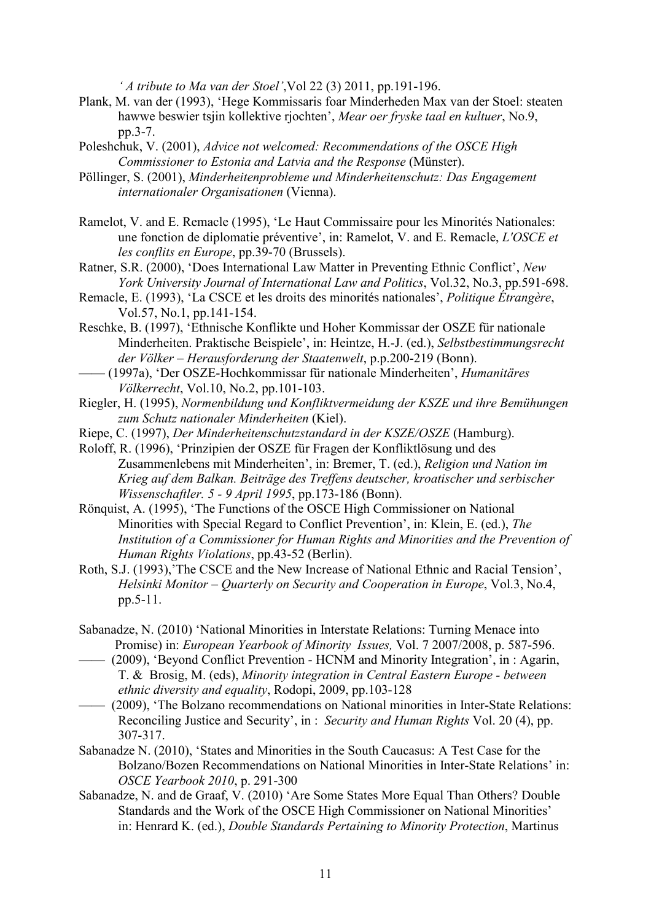*' A tribute to Ma van der Stoel'*,Vol 22 (3) 2011, pp.191-196.

- Plank, M. van der (1993), 'Hege Kommissaris foar Minderheden Max van der Stoel: steaten hawwe beswier tsjin kollektive rjochten', *Mear oer fryske taal en kultuer*, No.9, pp.3-7.
- Poleshchuk, V. (2001), *Advice not welcomed: Recommendations of the OSCE High Commissioner to Estonia and Latvia and the Response* (Münster).
- Pöllinger, S. (2001), *Minderheitenprobleme und Minderheitenschutz: Das Engagement internationaler Organisationen* (Vienna).
- Ramelot, V. and E. Remacle (1995), 'Le Haut Commissaire pour les Minorités Nationales: une fonction de diplomatie préventive', in: Ramelot, V. and E. Remacle, *L'OSCE et les conflits en Europe*, pp.39-70 (Brussels).
- Ratner, S.R. (2000), 'Does International Law Matter in Preventing Ethnic Conflict', *New York University Journal of International Law and Politics*, Vol.32, No.3, pp.591-698.
- Remacle, E. (1993), 'La CSCE et les droits des minorités nationales', *Politique Étrangère*, Vol.57, No.1, pp.141-154.
- Reschke, B. (1997), 'Ethnische Konflikte und Hoher Kommissar der OSZE für nationale Minderheiten. Praktische Beispiele', in: Heintze, H.-J. (ed.), *Selbstbestimmungsrecht der Völker – Herausforderung der Staatenwelt*, p.p.200-219 (Bonn).
- —— (1997a), 'Der OSZE-Hochkommissar für nationale Minderheiten', *Humanitäres Völkerrecht*, Vol.10, No.2, pp.101-103.
- Riegler, H. (1995), *Normenbildung und Konfliktvermeidung der KSZE und ihre Bemühungen zum Schutz nationaler Minderheiten* (Kiel).
- Riepe, C. (1997), *Der Minderheitenschutzstandard in der KSZE/OSZE* (Hamburg).
- Roloff, R. (1996), 'Prinzipien der OSZE für Fragen der Konfliktlösung und des Zusammenlebens mit Minderheiten', in: Bremer, T. (ed.), *Religion und Nation im Krieg auf dem Balkan. Beiträge des Treffens deutscher, kroatischer und serbischer Wissenschaftler. 5 - 9 April 1995*, pp.173-186 (Bonn).
- Rönquist, A. (1995), 'The Functions of the OSCE High Commissioner on National Minorities with Special Regard to Conflict Prevention', in: Klein, E. (ed.), *The Institution of a Commissioner for Human Rights and Minorities and the Prevention of Human Rights Violations*, pp.43-52 (Berlin).
- Roth, S.J. (1993),'The CSCE and the New Increase of National Ethnic and Racial Tension', *Helsinki Monitor – Quarterly on Security and Cooperation in Europe*, Vol.3, No.4, pp.5-11.
- Sabanadze, N. (2010) 'National Minorities in Interstate Relations: Turning Menace into Promise) in: *European Yearbook of Minority Issues,* Vol. 7 2007/2008, p. 587-596.
- —— (2009), 'Beyond Conflict Prevention HCNM and Minority Integration', in : Agarin, T. & Brosig, M. (eds), *Minority integration in Central Eastern Europe - between ethnic diversity and equality*, Rodopi, 2009, pp.103-128
- —— (2009), 'The Bolzano recommendations on National minorities in Inter-State Relations: Reconciling Justice and Security', in : *Security and Human Rights* Vol. 20 (4), pp. 307-317.
- Sabanadze N. (2010), 'States and Minorities in the South Caucasus: A Test Case for the Bolzano/Bozen Recommendations on National Minorities in Inter-State Relations' in: *OSCE Yearbook 2010*, p. 291-300
- Sabanadze, N. and de Graaf, V. (2010) 'Are Some States More Equal Than Others? Double Standards and the Work of the OSCE High Commissioner on National Minorities' in: Henrard K. (ed.), *Double Standards Pertaining to Minority Protection*, Martinus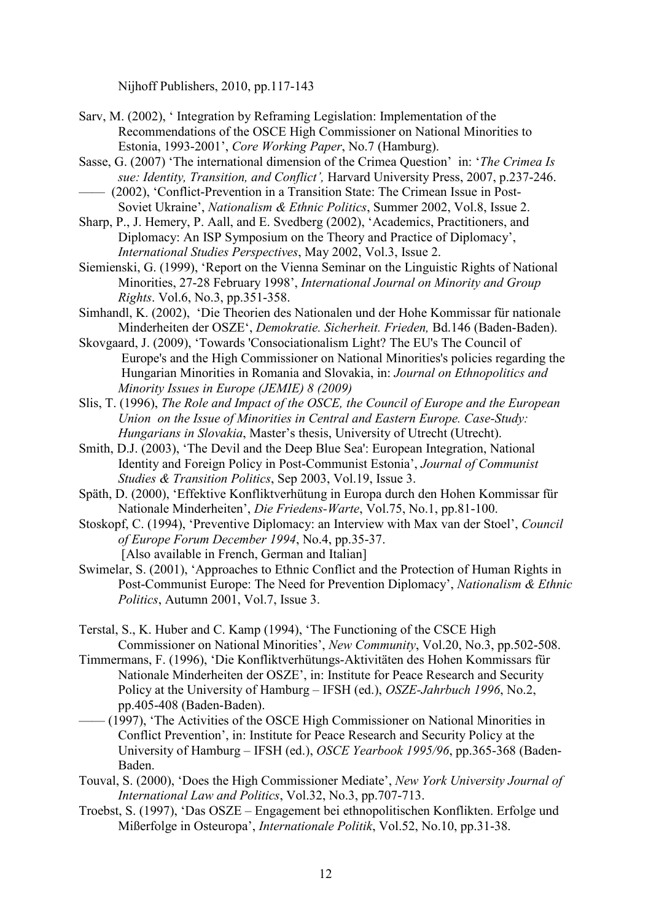Nijhoff Publishers, 2010, pp.117-143

- Sarv, M. (2002), ' Integration by Reframing Legislation: Implementation of the Recommendations of the OSCE High Commissioner on National Minorities to Estonia, 1993-2001', *Core Working Paper*, No.7 (Hamburg).
- Sasse, G. (2007) 'The international dimension of the Crimea Question' in: '*The Crimea Is sue: Identity, Transition, and Conflict',* Harvard University Press, 2007, p.237-246.
- (2002), 'Conflict-Prevention in a Transition State: The Crimean Issue in Post-Soviet Ukraine', *Nationalism & Ethnic Politics*, Summer 2002, Vol.8, Issue 2.
- Sharp, P., J. Hemery, P. Aall, and E. Svedberg (2002), 'Academics, Practitioners, and Diplomacy: An ISP Symposium on the Theory and Practice of Diplomacy', *International Studies Perspectives*, May 2002, Vol.3, Issue 2.
- Siemienski, G. (1999), 'Report on the Vienna Seminar on the Linguistic Rights of National Minorities, 27-28 February 1998', *International Journal on Minority and Group Rights*. Vol.6, No.3, pp.351-358.
- Simhandl, K. (2002), 'Die Theorien des Nationalen und der Hohe Kommissar für nationale Minderheiten der OSZE', *Demokratie. Sicherheit. Frieden,* Bd.146 (Baden-Baden).
- Skovgaard, J. (2009), 'Towards 'Consociationalism Light? The EU's The Council of Europe's and the High Commissioner on National Minorities's policies regarding the Hungarian Minorities in Romania and Slovakia, in: *Journal on Ethnopolitics and Minority Issues in Europe (JEMIE) 8 (2009)*
- Slis, T. (1996), *The Role and Impact of the OSCE, the Council of Europe and the European Union on the Issue of Minorities in Central and Eastern Europe. Case-Study: Hungarians in Slovakia*, Master's thesis, University of Utrecht (Utrecht).
- Smith, D.J. (2003), 'The Devil and the Deep Blue Sea': European Integration, National Identity and Foreign Policy in Post-Communist Estonia', *Journal of Communist Studies & Transition Politics*, Sep 2003, Vol.19, Issue 3.
- Späth, D. (2000), 'Effektive Konfliktverhütung in Europa durch den Hohen Kommissar für Nationale Minderheiten', *Die Friedens-Warte*, Vol.75, No.1, pp.81-100.
- Stoskopf, C. (1994), 'Preventive Diplomacy: an Interview with Max van der Stoel', *Council of Europe Forum December 1994*, No.4, pp.35-37. [Also available in French, German and Italian]
- Swimelar, S. (2001), 'Approaches to Ethnic Conflict and the Protection of Human Rights in Post-Communist Europe: The Need for Prevention Diplomacy', *Nationalism & Ethnic Politics*, Autumn 2001, Vol.7, Issue 3.
- Terstal, S., K. Huber and C. Kamp (1994), 'The Functioning of the CSCE High Commissioner on National Minorities', *New Community*, Vol.20, No.3, pp.502-508.
- Timmermans, F. (1996), 'Die Konfliktverhütungs-Aktivitäten des Hohen Kommissars für Nationale Minderheiten der OSZE', in: Institute for Peace Research and Security Policy at the University of Hamburg – IFSH (ed.), *OSZE-Jahrbuch 1996*, No.2, pp.405-408 (Baden-Baden).
- —— (1997), 'The Activities of the OSCE High Commissioner on National Minorities in Conflict Prevention', in: Institute for Peace Research and Security Policy at the University of Hamburg – IFSH (ed.), *OSCE Yearbook 1995/96*, pp.365-368 (Baden-Baden.
- Touval, S. (2000), 'Does the High Commissioner Mediate', *New York University Journal of International Law and Politics*, Vol.32, No.3, pp.707-713.
- Troebst, S. (1997), 'Das OSZE Engagement bei ethnopolitischen Konflikten. Erfolge und Mißerfolge in Osteuropa', *Internationale Politik*, Vol.52, No.10, pp.31-38.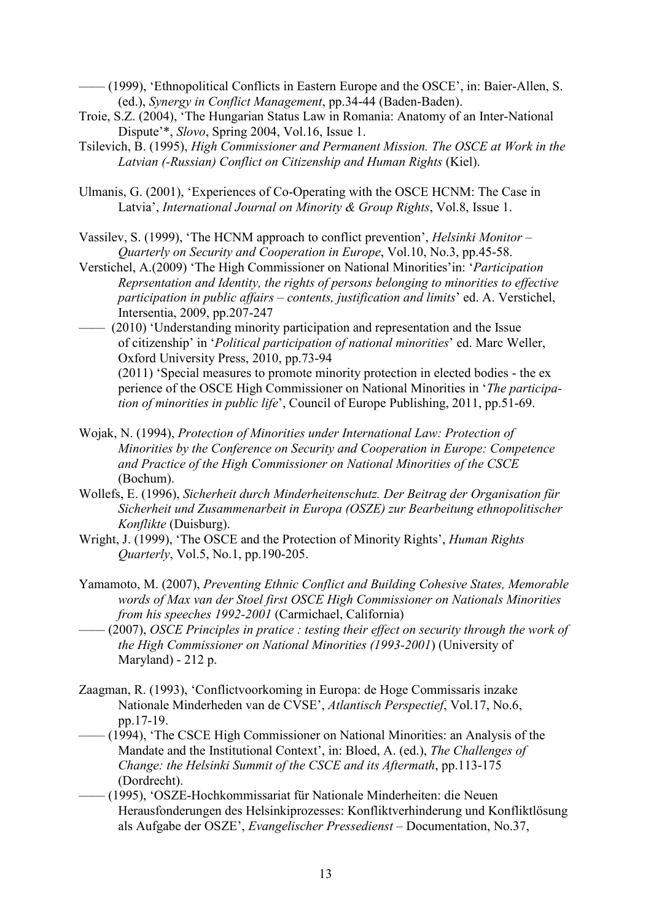- —— (1999), 'Ethnopolitical Conflicts in Eastern Europe and the OSCE', in: Baier-Allen, S. (ed.), *Synergy in Conflict Management*, pp.34-44 (Baden-Baden).
- Troie, S.Z. (2004), 'The Hungarian Status Law in Romania: Anatomy of an Inter-National Dispute'\*, *Slovo*, Spring 2004, Vol.16, Issue 1.
- Tsilevich, B. (1995), *High Commissioner and Permanent Mission. The OSCE at Work in the Latvian (-Russian) Conflict on Citizenship and Human Rights* (Kiel).
- Ulmanis, G. (2001), 'Experiences of Co-Operating with the OSCE HCNM: The Case in Latvia', *International Journal on Minority & Group Rights*, Vol.8, Issue 1.
- Vassilev, S. (1999), 'The HCNM approach to conflict prevention', *Helsinki Monitor Quarterly on Security and Cooperation in Europe*, Vol.10, No.3, pp.45-58.
- Verstichel, A.(2009) 'The High Commissioner on National Minorities'in: '*Participation Reprsentation and Identity, the rights of persons belonging to minorities to effective participation in public affairs – contents, justification and limits*' ed. A. Verstichel, Intersentia, 2009, pp.207-247
- $(2010)$  'Understanding minority participation and representation and the Issue of citizenship' in '*Political participation of national minorities*' ed. Marc Weller, Oxford University Press, 2010, pp.73-94 (2011) 'Special measures to promote minority protection in elected bodies - the ex perience of the OSCE High Commissioner on National Minorities in '*The participation of minorities in public life*', Council of Europe Publishing, 2011, pp.51-69.
- Wojak, N. (1994), *Protection of Minorities under International Law: Protection of Minorities by the Conference on Security and Cooperation in Europe: Competence and Practice of the High Commissioner on National Minorities of the CSCE* (Bochum).
- Wollefs, E. (1996), *Sicherheit durch Minderheitenschutz. Der Beitrag der Organisation für Sicherheit und Zusammenarbeit in Europa (OSZE) zur Bearbeitung ethnopolitischer Konflikte* (Duisburg).
- Wright, J. (1999), 'The OSCE and the Protection of Minority Rights', *Human Rights Quarterly*, Vol.5, No.1, pp.190-205.
- Yamamoto, M. (2007), *Preventing Ethnic Conflict and Building Cohesive States, Memorable words of Max van der Stoel first OSCE High Commissioner on Nationals Minorities from his speeches 1992-2001* (Carmichael, California)
- —— (2007), *OSCE Principles in pratice : testing their effect on security through the work of the High Commissioner on National Minorities (1993-2001*) (University of Maryland) - 212 p.
- Zaagman, R. (1993), 'Conflictvoorkoming in Europa: de Hoge Commissaris inzake Nationale Minderheden van de CVSE', *Atlantisch Perspectief*, Vol.17, No.6, pp.17-19.
- —— (1994), 'The CSCE High Commissioner on National Minorities: an Analysis of the Mandate and the Institutional Context', in: Bloed, A. (ed.), *The Challenges of Change: the Helsinki Summit of the CSCE and its Aftermath*, pp.113-175 (Dordrecht).
- —— (1995), 'OSZE-Hochkommissariat für Nationale Minderheiten: die Neuen Herausfonderungen des Helsinkiprozesses: Konfliktverhinderung und Konfliktlösung als Aufgabe der OSZE', *Evangelischer Pressedienst* – Documentation, No.37,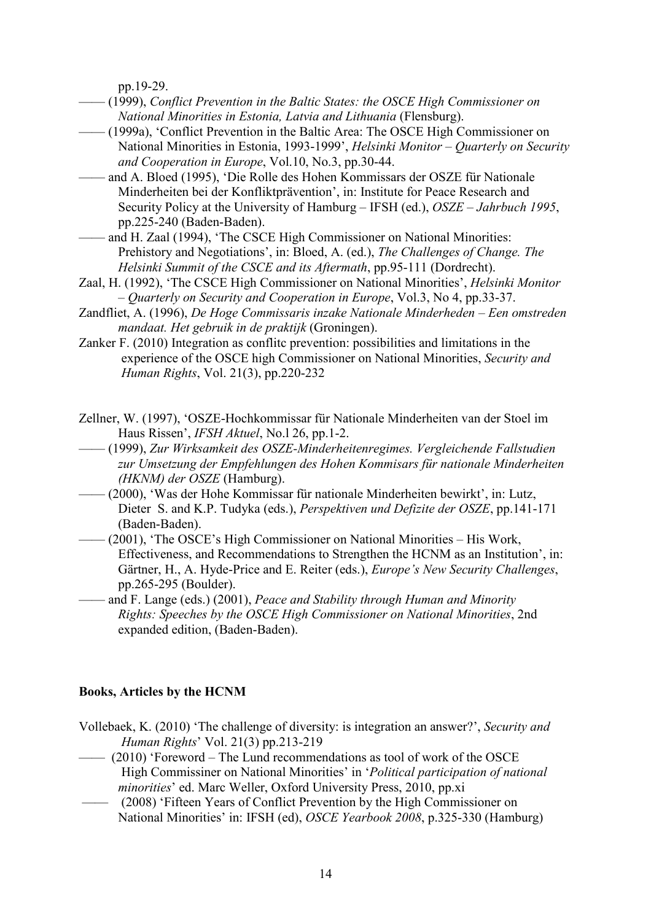pp.19-29.

- —— (1999), *Conflict Prevention in the Baltic States: the OSCE High Commissioner on National Minorities in Estonia, Latvia and Lithuania* (Flensburg).
- —— (1999a), 'Conflict Prevention in the Baltic Area: The OSCE High Commissioner on National Minorities in Estonia, 1993-1999', *Helsinki Monitor* – *Quarterly on Security and Cooperation in Europe*, Vol.10, No.3, pp.30-44.
- —— and A. Bloed (1995), 'Die Rolle des Hohen Kommissars der OSZE für Nationale Minderheiten bei der Konfliktprävention', in: Institute for Peace Research and Security Policy at the University of Hamburg – IFSH (ed.), *OSZE* – *Jahrbuch 1995*, pp.225-240 (Baden-Baden).
- —— and H. Zaal (1994), 'The CSCE High Commissioner on National Minorities: Prehistory and Negotiations', in: Bloed, A. (ed.), *The Challenges of Change. The Helsinki Summit of the CSCE and its Aftermath*, pp.95-111 (Dordrecht).
- Zaal, H. (1992), 'The CSCE High Commissioner on National Minorities', *Helsinki Monitor* – *Quarterly on Security and Cooperation in Europe*, Vol.3, No 4, pp.33-37.
- Zandfliet, A. (1996), *De Hoge Commissaris inzake Nationale Minderheden Een omstreden mandaat. Het gebruik in de praktijk* (Groningen).
- Zanker F. (2010) Integration as conflitc prevention: possibilities and limitations in the experience of the OSCE high Commissioner on National Minorities, *Security and Human Rights*, Vol. 21(3), pp.220-232
- Zellner, W. (1997), 'OSZE-Hochkommissar für Nationale Minderheiten van der Stoel im Haus Rissen', *IFSH Aktuel*, No.l 26, pp.1-2.
- —— (1999), *Zur Wirksamkeit des OSZE-Minderheitenregimes. Vergleichende Fallstudien zur Umsetzung der Empfehlungen des Hohen Kommisars für nationale Minderheiten (HKNM) der OSZE* (Hamburg).
- —— (2000), 'Was der Hohe Kommissar für nationale Minderheiten bewirkt', in: Lutz, Dieter S. and K.P. Tudyka (eds.), *Perspektiven und Defizite der OSZE*, pp.141-171 (Baden-Baden).
- —— (2001), 'The OSCE's High Commissioner on National Minorities His Work, Effectiveness, and Recommendations to Strengthen the HCNM as an Institution', in: Gärtner, H., A. Hyde-Price and E. Reiter (eds.), *Europe's New Security Challenges*, pp.265-295 (Boulder).
- —— and F. Lange (eds.) (2001), *Peace and Stability through Human and Minority Rights: Speeches by the OSCE High Commissioner on National Minorities*, 2nd expanded edition, (Baden-Baden).

#### **Books, Articles by the HCNM**

- Vollebaek, K. (2010) 'The challenge of diversity: is integration an answer?', *Security and Human Rights*' Vol. 21(3) pp.213-219
- —— (2010) 'Foreword The Lund recommendations as tool of work of the OSCE High Commissiner on National Minorities' in '*Political participation of national minorities*' ed. Marc Weller, Oxford University Press, 2010, pp.xi
- (2008) 'Fifteen Years of Conflict Prevention by the High Commissioner on National Minorities' in: IFSH (ed), *OSCE Yearbook 2008*, p.325-330 (Hamburg)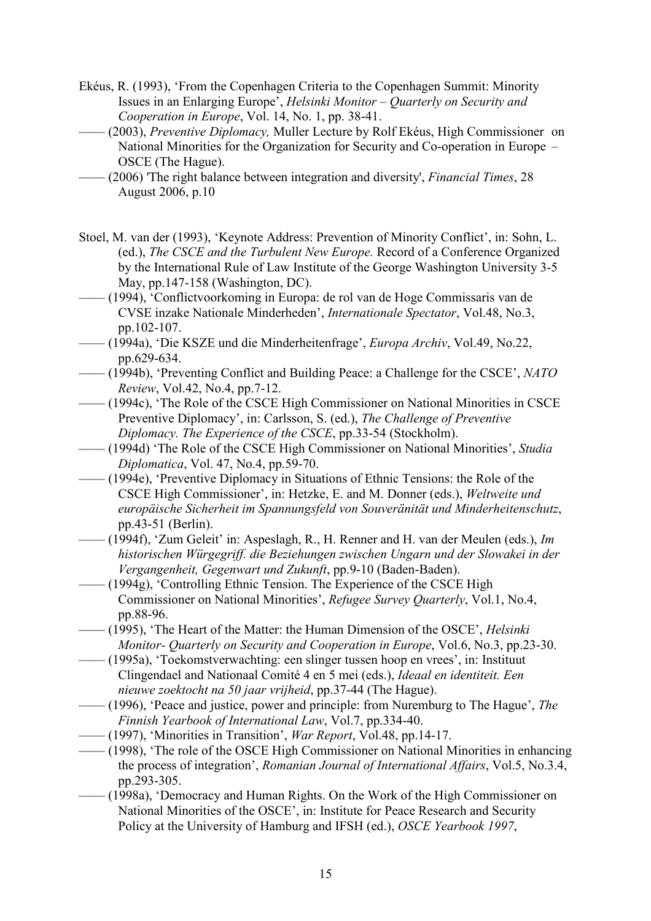- Ekéus, R. (1993), 'From the Copenhagen Criteria to the Copenhagen Summit: Minority Issues in an Enlarging Europe', *Helsinki Monitor – Quarterly on Security and Cooperation in Europe*, Vol. 14, No. 1, pp. 38-41.
- —— (2003), *Preventive Diplomacy,* Muller Lecture by Rolf Ekéus, High Commissioner on National Minorities for the Organization for Security and Co-operation in Europe – OSCE (The Hague).
- —— (2006) 'The right balance between integration and diversity', *Financial Times*, 28 August 2006, p.10
- Stoel, M. van der (1993), 'Keynote Address: Prevention of Minority Conflict', in: Sohn, L. (ed.), *The CSCE and the Turbulent New Europe.* Record of a Conference Organized by the International Rule of Law Institute of the George Washington University 3-5 May, pp.147-158 (Washington, DC).
- —— (1994), 'Conflictvoorkoming in Europa: de rol van de Hoge Commissaris van de CVSE inzake Nationale Minderheden', *Internationale Spectator*, Vol.48, No.3, pp.102-107.
- —— (1994a), 'Die KSZE und die Minderheitenfrage', *Europa Archiv*, Vol.49, No.22, pp.629-634.
- —— (1994b), 'Preventing Conflict and Building Peace: a Challenge for the CSCE', *NATO Review*, Vol.42, No.4, pp.7-12.
- —— (1994c), 'The Role of the CSCE High Commissioner on National Minorities in CSCE Preventive Diplomacy', in: Carlsson, S. (ed.), *The Challenge of Preventive Diplomacy. The Experience of the CSCE*, pp.33-54 (Stockholm).
- —— (1994d) 'The Role of the CSCE High Commissioner on National Minorities', *Studia Diplomatica*, Vol. 47, No.4, pp.59-70.
- —— (1994e), 'Preventive Diplomacy in Situations of Ethnic Tensions: the Role of the CSCE High Commissioner', in: Hetzke, E. and M. Donner (eds.), *Weltweite und europäische Sicherheit im Spannungsfeld von Souveränität und Minderheitenschutz*, pp.43-51 (Berlin).
- —— (1994f), 'Zum Geleit' in: Aspeslagh, R., H. Renner and H. van der Meulen (eds.), *Im historischen Würgegriff. die Beziehungen zwischen Ungarn und der Slowakei in der Vergangenheit, Gegenwart und Zukunft*, pp.9-10 (Baden-Baden).
- —— (1994g), 'Controlling Ethnic Tension. The Experience of the CSCE High Commissioner on National Minorities', *Refugee Survey Quarterly*, Vol.1, No.4, pp.88-96.
- —— (1995), 'The Heart of the Matter: the Human Dimension of the OSCE', *Helsinki Monitor- Quarterly on Security and Cooperation in Europe*, Vol.6, No.3, pp.23-30.
- —— (1995a), 'Toekomstverwachting: een slinger tussen hoop en vrees', in: Instituut Clingendael and Nationaal Comité 4 en 5 mei (eds.), *Ideaal en identiteit. Een nieuwe zoektocht na 50 jaar vrijheid*, pp.37-44 (The Hague).
- —— (1996), 'Peace and justice, power and principle: from Nuremburg to The Hague', *The Finnish Yearbook of International Law*, Vol.7, pp.334-40.
- —— (1997), 'Minorities in Transition', *War Report*, Vol.48, pp.14-17.
- —— (1998), 'The role of the OSCE High Commissioner on National Minorities in enhancing the process of integration', *Romanian Journal of International Affairs*, Vol.5, No.3.4, pp.293-305.
- —— (1998a), 'Democracy and Human Rights. On the Work of the High Commissioner on National Minorities of the OSCE', in: Institute for Peace Research and Security Policy at the University of Hamburg and IFSH (ed.), *OSCE Yearbook 1997*,